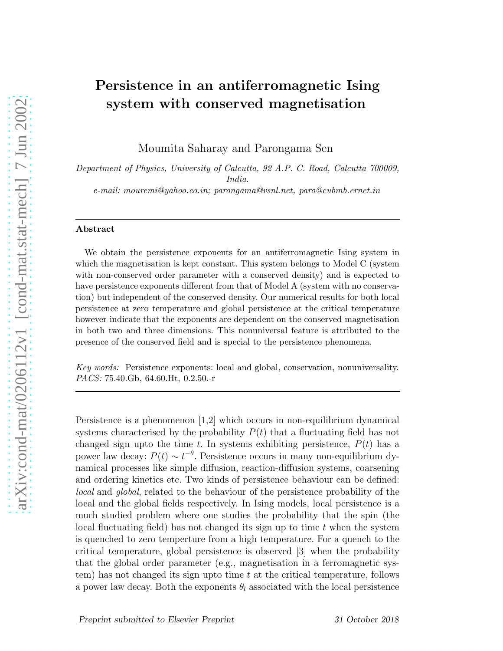## Persistence in an antiferromagnetic Ising system with conserved magnetisation

Moumita Saharay and Parongama Sen

*Department of Physics, University of Calcutta, 92 A.P. C. Road, Calcutta 700009, India. e-mail: mouremi@yahoo.co.in; parongama@vsnl.net, paro@cubmb.ernet.in*

## Abstract

We obtain the persistence exponents for an antiferromagnetic Ising system in which the magnetisation is kept constant. This system belongs to Model C (system with non-conserved order parameter with a conserved density) and is expected to have persistence exponents different from that of Model A (system with no conservation) but independent of the conserved density. Our numerical results for both local persistence at zero temperature and global persistence at the critical temperature however indicate that the exponents are dependent on the conserved magnetisation in both two and three dimensions. This nonuniversal feature is attributed to the presence of the conserved field and is special to the persistence phenomena.

*Key words:* Persistence exponents: local and global, conservation, nonuniversality. *PACS:* 75.40.Gb, 64.60.Ht, 0.2.50.-r

Persistence is a phenomenon [1,2] which occurs in non-equilibrium dynamical systems characterised by the probability  $P(t)$  that a fluctuating field has not changed sign upto the time t. In systems exhibiting persistence,  $P(t)$  has a power law decay:  $P(t) \sim t^{-\theta}$ . Persistence occurs in many non-equilibrium dynamical processes like simple diffusion, reaction-diffusion systems, coarsening and ordering kinetics etc. Two kinds of persistence behaviour can be defined: local and global, related to the behaviour of the persistence probability of the local and the global fields respectively. In Ising models, local persistence is a much studied problem where one studies the probability that the spin (the local fluctuating field) has not changed its sign up to time  $t$  when the system is quenched to zero temperture from a high temperature. For a quench to the critical temperature, global persistence is observed [3] when the probability that the global order parameter (e.g., magnetisation in a ferromagnetic system) has not changed its sign upto time t at the critical temperature, follows a power law decay. Both the exponents  $\theta_l$  associated with the local persistence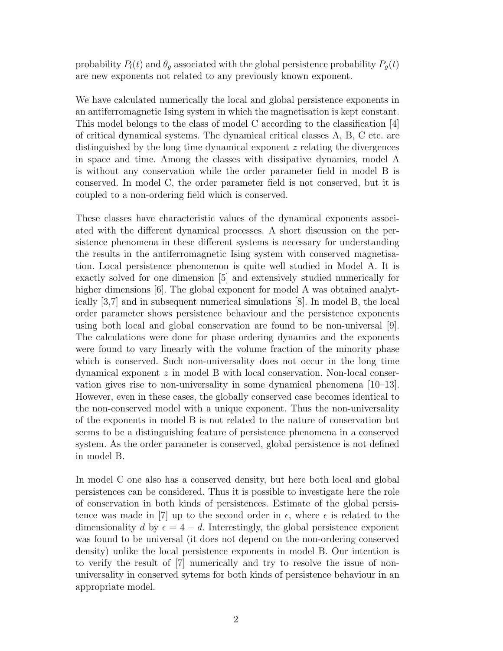probability  $P_l(t)$  and  $\theta_g$  associated with the global persistence probability  $P_g(t)$ are new exponents not related to any previously known exponent.

We have calculated numerically the local and global persistence exponents in an antiferromagnetic Ising system in which the magnetisation is kept constant. This model belongs to the class of model C according to the classification [4] of critical dynamical systems. The dynamical critical classes A, B, C etc. are distinguished by the long time dynamical exponent z relating the divergences in space and time. Among the classes with dissipative dynamics, model A is without any conservation while the order parameter field in model B is conserved. In model C, the order parameter field is not conserved, but it is coupled to a non-ordering field which is conserved.

These classes have characteristic values of the dynamical exponents associated with the different dynamical processes. A short discussion on the persistence phenomena in these different systems is necessary for understanding the results in the antiferromagnetic Ising system with conserved magnetisation. Local persistence phenomenon is quite well studied in Model A. It is exactly solved for one dimension [5] and extensively studied numerically for higher dimensions [6]. The global exponent for model A was obtained analytically [3,7] and in subsequent numerical simulations [8]. In model B, the local order parameter shows persistence behaviour and the persistence exponents using both local and global conservation are found to be non-universal [9]. The calculations were done for phase ordering dynamics and the exponents were found to vary linearly with the volume fraction of the minority phase which is conserved. Such non-universality does not occur in the long time dynamical exponent  $z$  in model B with local conservation. Non-local conservation gives rise to non-universality in some dynamical phenomena [10–13]. However, even in these cases, the globally conserved case becomes identical to the non-conserved model with a unique exponent. Thus the non-universality of the exponents in model B is not related to the nature of conservation but seems to be a distinguishing feature of persistence phenomena in a conserved system. As the order parameter is conserved, global persistence is not defined in model B.

In model C one also has a conserved density, but here both local and global persistences can be considered. Thus it is possible to investigate here the role of conservation in both kinds of persistences. Estimate of the global persistence was made in [7] up to the second order in  $\epsilon$ , where  $\epsilon$  is related to the dimensionality d by  $\epsilon = 4 - d$ . Interestingly, the global persistence exponent was found to be universal (it does not depend on the non-ordering conserved density) unlike the local persistence exponents in model B. Our intention is to verify the result of [7] numerically and try to resolve the issue of nonuniversality in conserved sytems for both kinds of persistence behaviour in an appropriate model.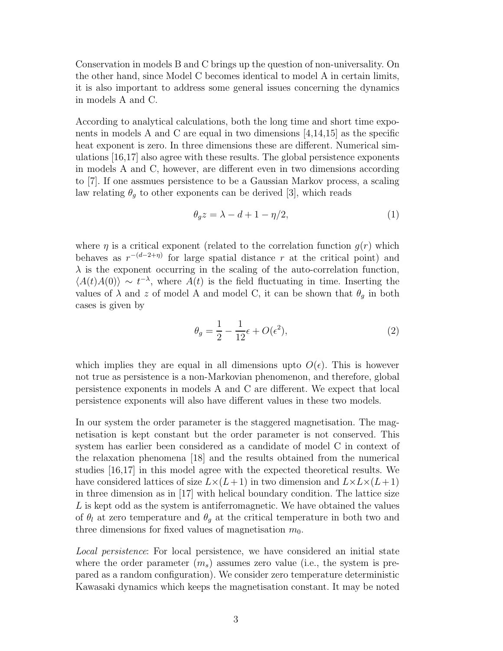Conservation in models B and C brings up the question of non-universality. On the other hand, since Model C becomes identical to model A in certain limits, it is also important to address some general issues concerning the dynamics in models A and C.

According to analytical calculations, both the long time and short time exponents in models A and C are equal in two dimensions  $[4,14,15]$  as the specific heat exponent is zero. In three dimensions these are different. Numerical simulations [16,17] also agree with these results. The global persistence exponents in models A and C, however, are different even in two dimensions according to [7]. If one assmues persistence to be a Gaussian Markov process, a scaling law relating  $\theta_g$  to other exponents can be derived [3], which reads

$$
\theta_g z = \lambda - d + 1 - \eta/2,\tag{1}
$$

where  $\eta$  is a critical exponent (related to the correlation function  $q(r)$  which behaves as  $r^{-(d-2+\eta)}$  for large spatial distance r at the critical point) and  $\lambda$  is the exponent occurring in the scaling of the auto-correlation function,  $\langle A(t)A(0)\rangle \sim t^{-\lambda}$ , where  $\tilde{A}(t)$  is the field fluctuating in time. Inserting the values of  $\lambda$  and z of model A and model C, it can be shown that  $\theta_q$  in both cases is given by

$$
\theta_g = \frac{1}{2} - \frac{1}{12}\epsilon + O(\epsilon^2),\tag{2}
$$

which implies they are equal in all dimensions upto  $O(\epsilon)$ . This is however not true as persistence is a non-Markovian phenomenon, and therefore, global persistence exponents in models A and C are different. We expect that local persistence exponents will also have different values in these two models.

In our system the order parameter is the staggered magnetisation. The magnetisation is kept constant but the order parameter is not conserved. This system has earlier been considered as a candidate of model C in context of the relaxation phenomena [18] and the results obtained from the numerical studies [16,17] in this model agree with the expected theoretical results. We have considered lattices of size  $L\times(L+1)$  in two dimension and  $L\times L\times(L+1)$ in three dimension as in [17] with helical boundary condition. The lattice size L is kept odd as the system is antiferromagnetic. We have obtained the values of  $\theta_l$  at zero temperature and  $\theta_g$  at the critical temperature in both two and three dimensions for fixed values of magnetisation  $m_0$ .

Local persistence: For local persistence, we have considered an initial state where the order parameter  $(m_s)$  assumes zero value (i.e., the system is prepared as a random configuration). We consider zero temperature deterministic Kawasaki dynamics which keeps the magnetisation constant. It may be noted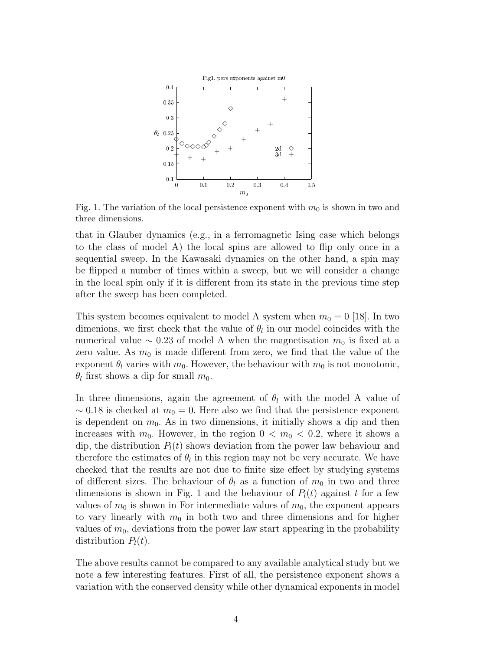

Fig. 1. The variation of the local persistence exponent with  $m_0$  is shown in two and three dimensions.

that in Glauber dynamics (e.g., in a ferromagnetic Ising case which belongs to the class of model A) the local spins are allowed to flip only once in a sequential sweep. In the Kawasaki dynamics on the other hand, a spin may be flipped a number of times within a sweep, but we will consider a change in the local spin only if it is different from its state in the previous time step after the sweep has been completed.

This system becomes equivalent to model A system when  $m_0 = 0$  [18]. In two dimenions, we first check that the value of  $\theta_l$  in our model coincides with the numerical value  $\sim$  0.23 of model A when the magnetisation  $m_0$  is fixed at a zero value. As  $m_0$  is made different from zero, we find that the value of the exponent  $\theta_l$  varies with  $m_0$ . However, the behaviour with  $m_0$  is not monotonic,  $\theta_l$  first shows a dip for small  $m_0$ .

In three dimensions, again the agreement of  $\theta_l$  with the model A value of  $\sim$  0.18 is checked at  $m_0 = 0$ . Here also we find that the persistence exponent is dependent on  $m_0$ . As in two dimensions, it initially shows a dip and then increases with  $m_0$ . However, in the region  $0 < m_0 < 0.2$ , where it shows a dip, the distribution  $P_l(t)$  shows deviation from the power law behaviour and therefore the estimates of  $\theta_l$  in this region may not be very accurate. We have checked that the results are not due to finite size effect by studying systems of different sizes. The behaviour of  $\theta_l$  as a function of  $m_0$  in two and three dimensions is shown in Fig. 1 and the behaviour of  $P_l(t)$  against t for a few values of  $m_0$  is shown in For intermediate values of  $m_0$ , the exponent appears to vary linearly with  $m_0$  in both two and three dimensions and for higher values of  $m_0$ , deviations from the power law start appearing in the probability distribution  $P_l(t)$ .

The above results cannot be compared to any available analytical study but we note a few interesting features. First of all, the persistence exponent shows a variation with the conserved density while other dynamical exponents in model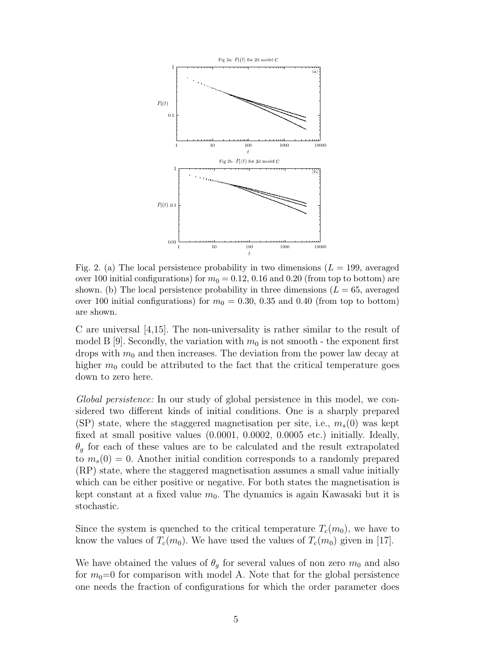

Fig. 2. (a) The local persistence probability in two dimensions  $(L = 199)$ , averaged over 100 initial configurations) for  $m_0 = 0.12, 0.16$  and 0.20 (from top to bottom) are shown. (b) The local persistence probability in three dimensions  $(L = 65, \text{ averaged})$ over 100 initial configurations) for  $m_0 = 0.30, 0.35$  and 0.40 (from top to bottom) are shown.

C are universal [4,15]. The non-universality is rather similar to the result of model B [9]. Secondly, the variation with  $m_0$  is not smooth - the exponent first drops with  $m_0$  and then increases. The deviation from the power law decay at higher  $m_0$  could be attributed to the fact that the critical temperature goes down to zero here.

Global persistence: In our study of global persistence in this model, we considered two different kinds of initial conditions. One is a sharply prepared (SP) state, where the staggered magnetisation per site, i.e.,  $m_s(0)$  was kept fixed at small positive values (0.0001, 0.0002, 0.0005 etc.) initially. Ideally,  $\theta_q$  for each of these values are to be calculated and the result extrapolated to  $m_s(0) = 0$ . Another initial condition corresponds to a randomly prepared (RP) state, where the staggered magnetisation assumes a small value initially which can be either positive or negative. For both states the magnetisation is kept constant at a fixed value  $m_0$ . The dynamics is again Kawasaki but it is stochastic.

Since the system is quenched to the critical temperature  $T_c(m_0)$ , we have to know the values of  $T_c(m_0)$ . We have used the values of  $T_c(m_0)$  given in [17].

We have obtained the values of  $\theta_g$  for several values of non zero  $m_0$  and also for  $m_0=0$  for comparison with model A. Note that for the global persistence one needs the fraction of configurations for which the order parameter does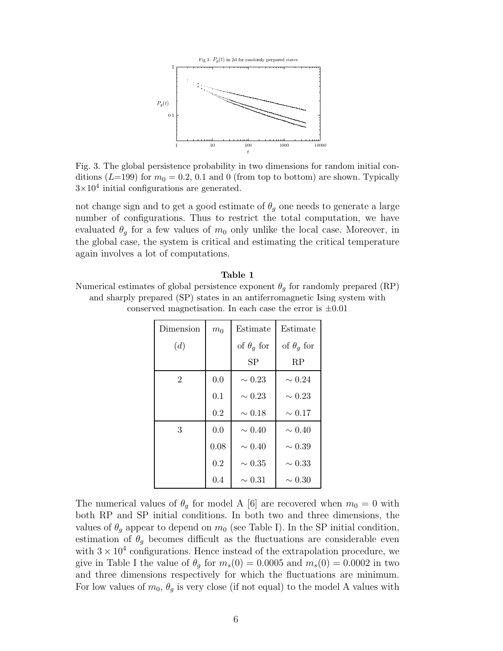

Fig. 3. The global persistence probability in two dimensions for random initial conditions ( $L=199$ ) for  $m_0 = 0.2, 0.1$  and 0 (from top to bottom) are shown. Typically  $3\times10^4$  initial configurations are generated.

not change sign and to get a good estimate of  $\theta_g$  one needs to generate a large number of configurations. Thus to restrict the total computation, we have evaluated  $\theta_q$  for a few values of  $m_0$  only unlike the local case. Moreover, in the global case, the system is critical and estimating the critical temperature again involves a lot of computations.

| l'abie |  |
|--------|--|
|        |  |

Numerical estimates of global persistence exponent  $\theta_q$  for randomly prepared (RP) and sharply prepared (SP) states in an antiferromagnetic Ising system with conserved magnetisation. In each case the error is  $\pm 0.01$ 

| Dimension      | m <sub>0</sub> | Estimate          | Estimate          |
|----------------|----------------|-------------------|-------------------|
| (d)            |                | of $\theta_q$ for | of $\theta_q$ for |
|                |                | SP                | RP                |
| $\overline{2}$ | 0.0            | $\sim 0.23$       | $\sim 0.24$       |
|                | 0.1            | $\sim 0.23$       | $\sim 0.23$       |
|                | 0.2            | $\sim 0.18$       | $\sim 0.17$       |
| 3              | 0.0            | $\sim 0.40$       | $\sim 0.40$       |
|                | 0.08           | $\sim 0.40$       | $\sim 0.39$       |
|                | 0.2            | $\sim 0.35$       | $\sim 0.33$       |
|                | 0.4            | $\sim 0.31$       | $\sim 0.30$       |

The numerical values of  $\theta_q$  for model A [6] are recovered when  $m_0 = 0$  with both RP and SP initial conditions. In both two and three dimensions, the values of  $\theta_q$  appear to depend on  $m_0$  (see Table I). In the SP initial condition, estimation of  $\theta_g$  becomes difficult as the fluctuations are considerable even with  $3 \times 10^4$  configurations. Hence instead of the extrapolation procedure, we give in Table I the value of  $\theta_g$  for  $m_s(0) = 0.0005$  and  $m_s(0) = 0.0002$  in two and three dimensions respectively for which the fluctuations are minimum. For low values of  $m_0$ ,  $\theta_q$  is very close (if not equal) to the model A values with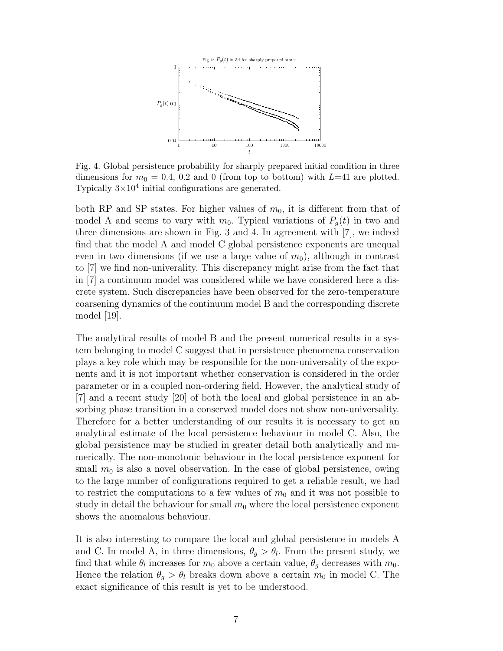

Fig. 4. Global persistence probability for sharply prepared initial condition in three dimensions for  $m_0 = 0.4$ , 0.2 and 0 (from top to bottom) with L=41 are plotted. Typically  $3\times10^4$  initial configurations are generated.

both RP and SP states. For higher values of  $m_0$ , it is different from that of model A and seems to vary with  $m_0$ . Typical variations of  $P_q(t)$  in two and three dimensions are shown in Fig. 3 and 4. In agreement with [7], we indeed find that the model A and model C global persistence exponents are unequal even in two dimensions (if we use a large value of  $m_0$ ), although in contrast to [7] we find non-univerality. This discrepancy might arise from the fact that in [7] a continuum model was considered while we have considered here a discrete system. Such discrepancies have been observed for the zero-temperature coarsening dynamics of the continuum model B and the corresponding discrete model [19].

The analytical results of model B and the present numerical results in a system belonging to model C suggest that in persistence phenomena conservation plays a key role which may be responsible for the non-universality of the exponents and it is not important whether conservation is considered in the order parameter or in a coupled non-ordering field. However, the analytical study of [7] and a recent study [20] of both the local and global persistence in an absorbing phase transition in a conserved model does not show non-universality. Therefore for a better understanding of our results it is necessary to get an analytical estimate of the local persistence behaviour in model C. Also, the global persistence may be studied in greater detail both analytically and numerically. The non-monotonic behaviour in the local persistence exponent for small  $m_0$  is also a novel observation. In the case of global persistence, owing to the large number of configurations required to get a reliable result, we had to restrict the computations to a few values of  $m_0$  and it was not possible to study in detail the behaviour for small  $m_0$  where the local persistence exponent shows the anomalous behaviour.

It is also interesting to compare the local and global persistence in models A and C. In model A, in three dimensions,  $\theta_g > \theta_l$ . From the present study, we find that while  $\theta_l$  increases for  $m_0$  above a certain value,  $\theta_g$  decreases with  $m_0$ . Hence the relation  $\theta_q > \theta_l$  breaks down above a certain  $m_0$  in model C. The exact significance of this result is yet to be understood.